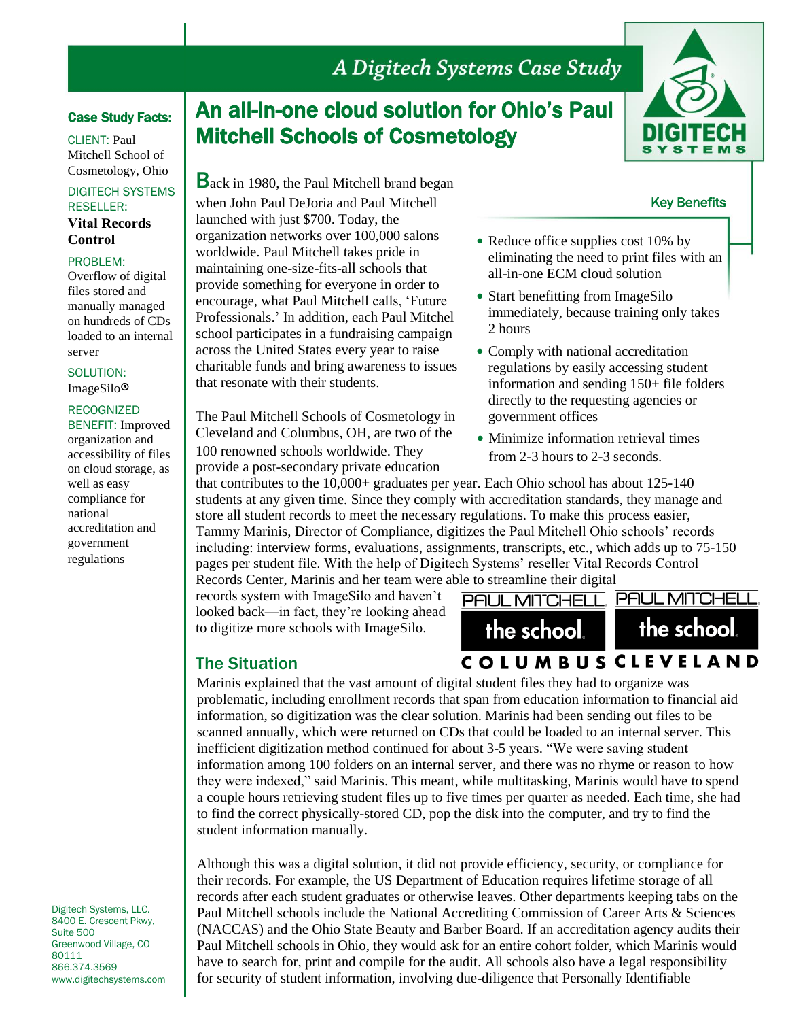# A Digitech Systems Case Study

## Case Study Facts:

CLIENT: Paul Mitchell School of Cosmetology, Ohio

### DIGITECH SYSTEMS RESELLER: **Vital Records Control**

## PROBLEM:

Overflow of digital files stored and manually managed on hundreds of CDs loaded to an internal server

SOLUTION: ImageSilo®

### RECOGNIZED

BENEFIT: Improved organization and accessibility of files on cloud storage, as well as easy compliance for national accreditation and government regulations

Digitech Systems, LLC. 8400 E. Crescent Pkwy, Suite 500 Greenwood Village, CO 80111 866.374.3569 www.digitechsystems.com

# An all-in-one cloud solution for Ohio's Paul Mitchell Schools of Cosmetology

Back in 1980, the Paul Mitchell brand began when John Paul DeJoria and Paul Mitchell launched with just \$700. Today, the organization networks over 100,000 salons worldwide. Paul Mitchell takes pride in maintaining one-size-fits-all schools that provide something for everyone in order to encourage, what Paul Mitchell calls, 'Future Professionals.' In addition, each Paul Mitchel school participates in a fundraising campaign across the United States every year to raise charitable funds and bring awareness to issues that resonate with their students.

The Paul Mitchell Schools of Cosmetology in Cleveland and Columbus, OH, are two of the • Minimize information retrieval times 100 renowned schools worldwide. They from 2-3 hours to 2-3 seconds. provide a post-secondary private education

- Reduce office supplies cost 10% by eliminating the need to print files with an all-in-one ECM cloud solution
- Start benefitting from ImageSilo immediately, because training only takes 2 hours
- Comply with national accreditation regulations by easily accessing student information and sending 150+ file folders directly to the requesting agencies or government offices
- 

that contributes to the 10,000+ graduates per year. Each Ohio school has about 125-140 students at any given time. Since they comply with accreditation standards, they manage and store all student records to meet the necessary regulations. To make this process easier, Tammy Marinis, Director of Compliance, digitizes the Paul Mitchell Ohio schools' records including: interview forms, evaluations, assignments, transcripts, etc., which adds up to 75-150 pages per student file. With the help of Digitech Systems' reseller Vital Records Control Records Center, Marinis and her team were able to streamline their digital

records system with ImageSilo and haven't looked back—in fact, they're looking ahead to digitize more schools with ImageSilo.

## The Situation

student information manually.

**COLUMBUS CLEVELAND** Marinis explained that the vast amount of digital student files they had to organize was problematic, including enrollment records that span from education information to financial aid information, so digitization was the clear solution. Marinis had been sending out files to be scanned annually, which were returned on CDs that could be loaded to an internal server. This inefficient digitization method continued for about 3-5 years. "We were saving student information among 100 folders on an internal server, and there was no rhyme or reason to how they were indexed," said Marinis. This meant, while multitasking, Marinis would have to spend a couple hours retrieving student files up to five times per quarter as needed. Each time, she had

Although this was a digital solution, it did not provide efficiency, security, or compliance for their records. For example, the US Department of Education requires lifetime storage of all records after each student graduates or otherwise leaves. Other departments keeping tabs on the Paul Mitchell schools include the National Accrediting Commission of Career Arts & Sciences (NACCAS) and the Ohio State Beauty and Barber Board. If an accreditation agency audits their Paul Mitchell schools in Ohio, they would ask for an entire cohort folder, which Marinis would have to search for, print and compile for the audit. All schools also have a legal responsibility for security of student information, involving due-diligence that Personally Identifiable

to find the correct physically-stored CD, pop the disk into the computer, and try to find the





Key Benefits